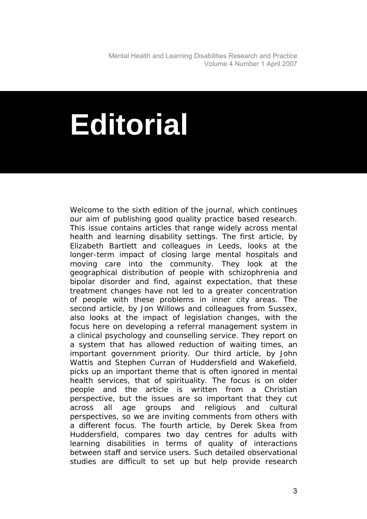Mental Health and Learning Disabilities Research and Practice Volume 4 Number 1 April 2007

## **Editorial**

Welcome to the sixth edition of the journal, which continues our aim of publishing good quality practice based research. This issue contains articles that range widely across mental health and learning disability settings. The first article, by Elizabeth Bartlett and colleagues in Leeds, looks at the longer-term impact of closing large mental hospitals and moving care into the community. They look at the geographical distribution of people with schizophrenia and bipolar disorder and find, against expectation, that these treatment changes have not led to a greater concentration of people with these problems in inner city areas. The second article, by Jon Willows and colleagues from Sussex, also looks at the impact of legislation changes, with the focus here on developing a referral management system in a clinical psychology and counselling service. They report on a system that has allowed reduction of waiting times, an important government priority. Our third article, by John Wattis and Stephen Curran of Huddersfield and Wakefield, picks up an important theme that is often ignored in mental health services, that of spirituality. The focus is on older people and the article is written from a Christian perspective, but the issues are so important that they cut across all age groups and religious and cultural perspectives, so we are inviting comments from others with a different focus. The fourth article, by Derek Skea from Huddersfield, compares two day centres for adults with learning disabilities in terms of quality of interactions between staff and service users. Such detailed observational studies are difficult to set up but help provide research